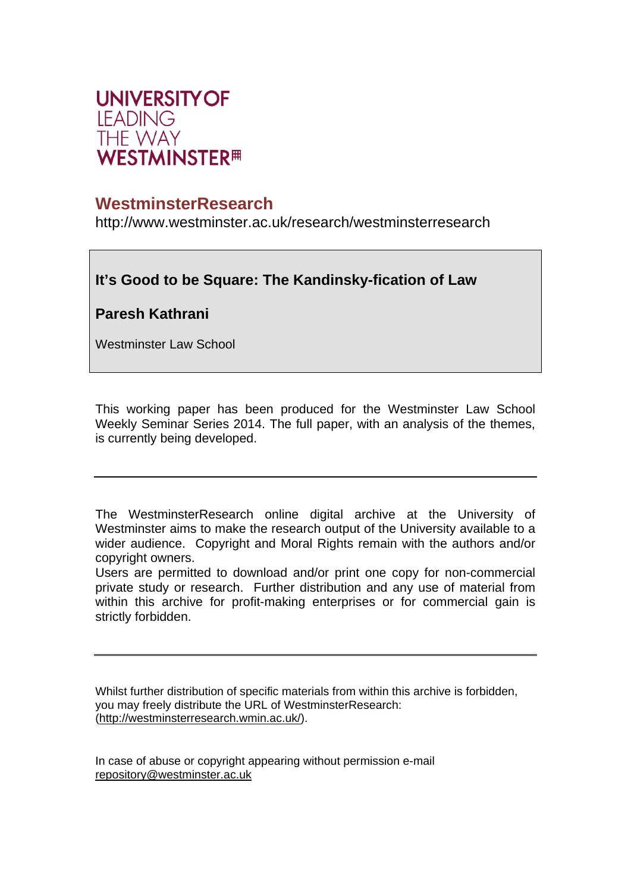

# **WestminsterResearch**

http://www.westminster.ac.uk/research/westminsterresearch

# **It's Good to be Square: The Kandinsky-fication of Law**

**Paresh Kathrani** 

Westminster Law School

This working paper has been produced for the Westminster Law School Weekly Seminar Series 2014. The full paper, with an analysis of the themes, is currently being developed.

The WestminsterResearch online digital archive at the University of Westminster aims to make the research output of the University available to a wider audience. Copyright and Moral Rights remain with the authors and/or copyright owners.

Users are permitted to download and/or print one copy for non-commercial private study or research. Further distribution and any use of material from within this archive for profit-making enterprises or for commercial gain is strictly forbidden.

Whilst further distribution of specific materials from within this archive is forbidden, you may freely distribute the URL of WestminsterResearch: (http://westminsterresearch.wmin.ac.uk/).

In case of abuse or copyright appearing without permission e-mail repository@westminster.ac.uk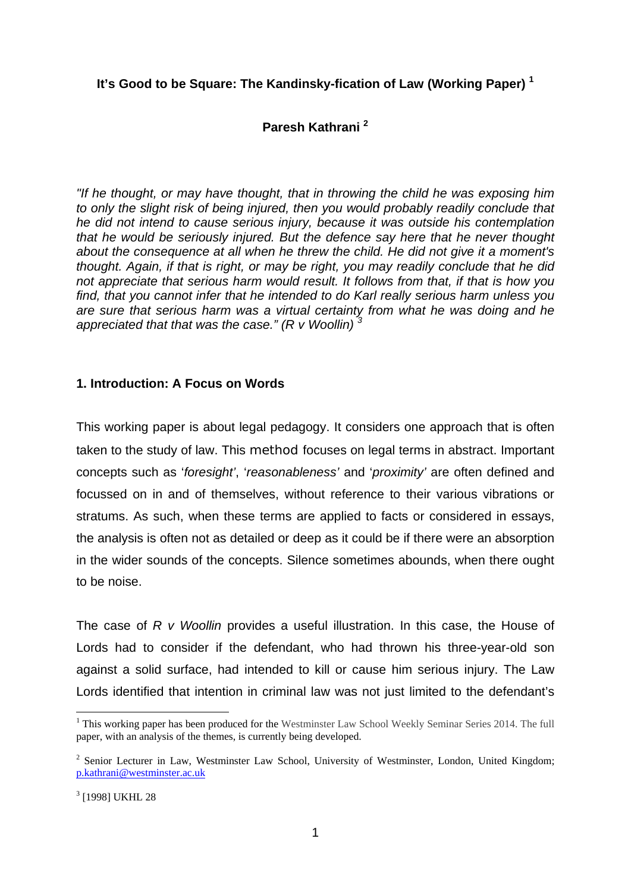## **It's Good to be Square: The Kandinsky-fication of Law (Working Paper) <sup>1</sup>**

# **Paresh Kathrani 2**

*"If he thought, or may have thought, that in throwing the child he was exposing him to only the slight risk of being injured, then you would probably readily conclude that he did not intend to cause serious injury, because it was outside his contemplation that he would be seriously injured. But the defence say here that he never thought about the consequence at all when he threw the child. He did not give it a moment's thought. Again, if that is right, or may be right, you may readily conclude that he did not appreciate that serious harm would result. It follows from that, if that is how you find, that you cannot infer that he intended to do Karl really serious harm unless you are sure that serious harm was a virtual certainty from what he was doing and he appreciated that that was the case." (R v Woollin) <sup>3</sup>*

## **1. Introduction: A Focus on Words**

This working paper is about legal pedagogy. It considers one approach that is often taken to the study of law. This method focuses on legal terms in abstract. Important concepts such as '*foresight'*, '*reasonableness'* and '*proximity'* are often defined and focussed on in and of themselves, without reference to their various vibrations or stratums. As such, when these terms are applied to facts or considered in essays, the analysis is often not as detailed or deep as it could be if there were an absorption in the wider sounds of the concepts. Silence sometimes abounds, when there ought to be noise.

The case of *R v Woollin* provides a useful illustration. In this case, the House of Lords had to consider if the defendant, who had thrown his three-year-old son against a solid surface, had intended to kill or cause him serious injury. The Law Lords identified that intention in criminal law was not just limited to the defendant's

<u>.</u>

<sup>&</sup>lt;sup>1</sup> This working paper has been produced for the Westminster Law School Weekly Seminar Series 2014. The full paper, with an analysis of the themes, is currently being developed.

 $2$  Senior Lecturer in Law, Westminster Law School, University of Westminster, London, United Kingdom; p.kathrani@westminster.ac.uk

<sup>3</sup> [1998] UKHL 28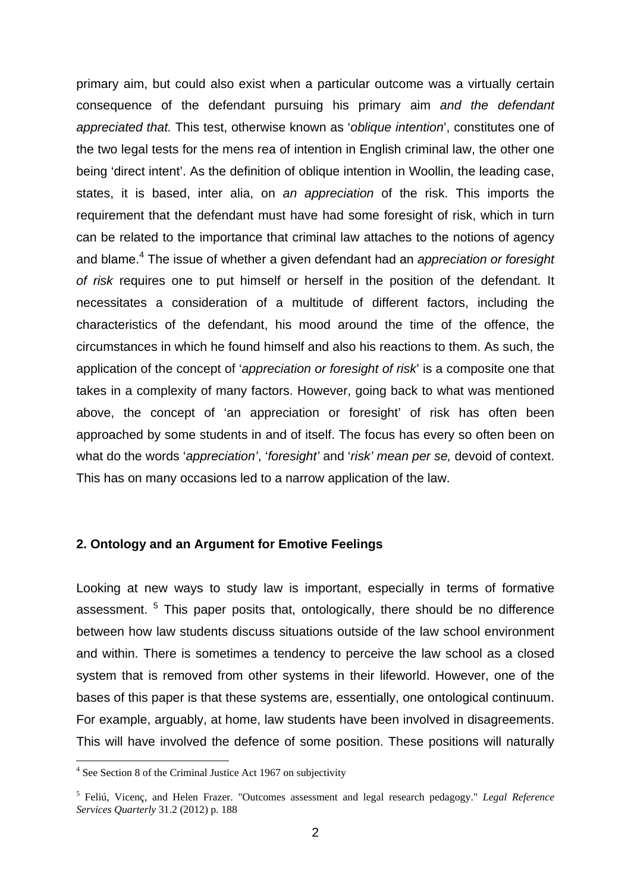primary aim, but could also exist when a particular outcome was a virtually certain consequence of the defendant pursuing his primary aim *and the defendant appreciated that.* This test, otherwise known as '*oblique intention*', constitutes one of the two legal tests for the mens rea of intention in English criminal law, the other one being 'direct intent'. As the definition of oblique intention in Woollin, the leading case, states, it is based, inter alia, on *an appreciation* of the risk. This imports the requirement that the defendant must have had some foresight of risk, which in turn can be related to the importance that criminal law attaches to the notions of agency and blame.<sup>4</sup> The issue of whether a given defendant had an *appreciation or foresight of risk* requires one to put himself or herself in the position of the defendant. It necessitates a consideration of a multitude of different factors, including the characteristics of the defendant, his mood around the time of the offence, the circumstances in which he found himself and also his reactions to them. As such, the application of the concept of '*appreciation or foresight of risk*' is a composite one that takes in a complexity of many factors. However, going back to what was mentioned above, the concept of 'an appreciation or foresight' of risk has often been approached by some students in and of itself. The focus has every so often been on what do the words '*appreciation'*, '*foresight'* and '*risk' mean per se,* devoid of context. This has on many occasions led to a narrow application of the law.

### **2. Ontology and an Argument for Emotive Feelings**

Looking at new ways to study law is important, especially in terms of formative assessment. <sup>5</sup> This paper posits that, ontologically, there should be no difference between how law students discuss situations outside of the law school environment and within. There is sometimes a tendency to perceive the law school as a closed system that is removed from other systems in their lifeworld. However, one of the bases of this paper is that these systems are, essentially, one ontological continuum. For example, arguably, at home, law students have been involved in disagreements. This will have involved the defence of some position. These positions will naturally

<sup>&</sup>lt;sup>4</sup> See Section 8 of the Criminal Justice Act 1967 on subjectivity

<sup>5</sup> Feliú, Vicenç, and Helen Frazer. "Outcomes assessment and legal research pedagogy." *Legal Reference Services Quarterly* 31.2 (2012) p. 188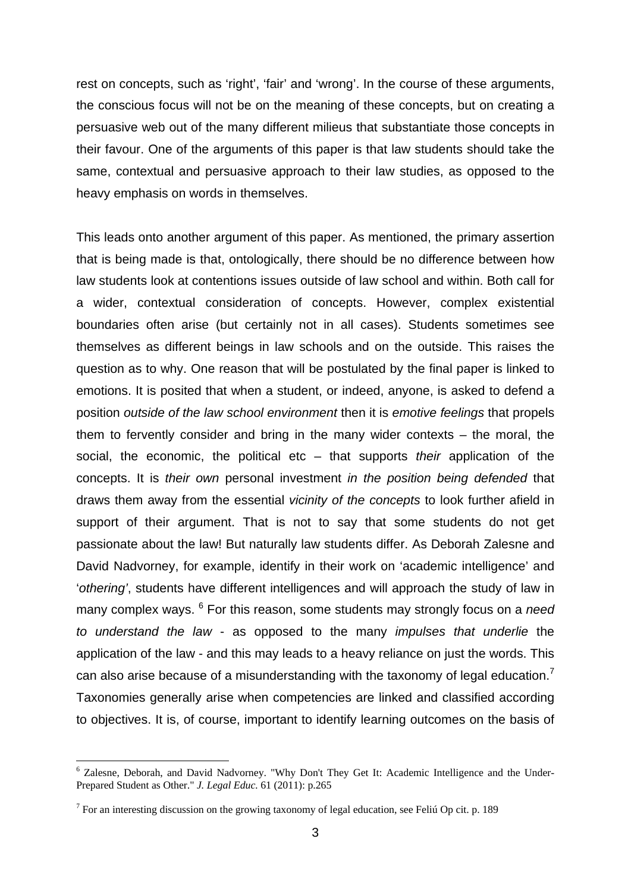rest on concepts, such as 'right', 'fair' and 'wrong'. In the course of these arguments, the conscious focus will not be on the meaning of these concepts, but on creating a persuasive web out of the many different milieus that substantiate those concepts in their favour. One of the arguments of this paper is that law students should take the same, contextual and persuasive approach to their law studies, as opposed to the heavy emphasis on words in themselves.

This leads onto another argument of this paper. As mentioned, the primary assertion that is being made is that, ontologically, there should be no difference between how law students look at contentions issues outside of law school and within. Both call for a wider, contextual consideration of concepts. However, complex existential boundaries often arise (but certainly not in all cases). Students sometimes see themselves as different beings in law schools and on the outside. This raises the question as to why. One reason that will be postulated by the final paper is linked to emotions. It is posited that when a student, or indeed, anyone, is asked to defend a position *outside of the law school environment* then it is *emotive feelings* that propels them to fervently consider and bring in the many wider contexts – the moral, the social, the economic, the political etc – that supports *their* application of the concepts. It is *their own* personal investment *in the position being defended* that draws them away from the essential *vicinity of the concepts* to look further afield in support of their argument. That is not to say that some students do not get passionate about the law! But naturally law students differ. As Deborah Zalesne and David Nadvorney, for example, identify in their work on 'academic intelligence' and '*othering'*, students have different intelligences and will approach the study of law in many complex ways. <sup>6</sup> For this reason, some students may strongly focus on a *need to understand the law* - as opposed to the many *impulses that underlie* the application of the law - and this may leads to a heavy reliance on just the words. This can also arise because of a misunderstanding with the taxonomy of legal education.<sup>7</sup> Taxonomies generally arise when competencies are linked and classified according to objectives. It is, of course, important to identify learning outcomes on the basis of

<sup>&</sup>lt;sup>6</sup> Zalesne, Deborah, and David Nadvorney. "Why Don't They Get It: Academic Intelligence and the Under-Prepared Student as Other." *J. Legal Educ.* 61 (2011): p.265

<sup>&</sup>lt;sup>7</sup> For an interesting discussion on the growing taxonomy of legal education, see Feliú Op cit. p. 189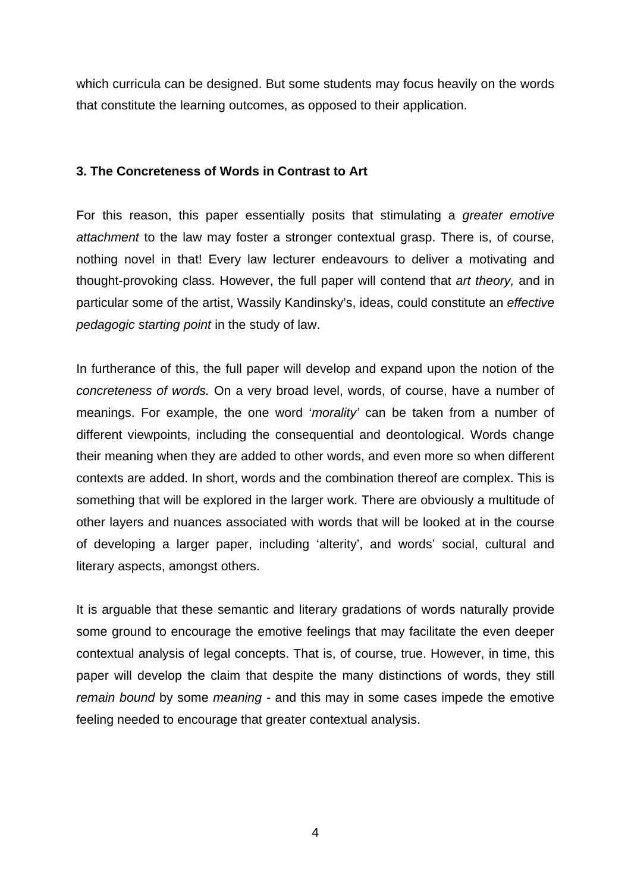which curricula can be designed. But some students may focus heavily on the words that constitute the learning outcomes, as opposed to their application.

## **3. The Concreteness of Words in Contrast to Art**

For this reason, this paper essentially posits that stimulating a *greater emotive attachment* to the law may foster a stronger contextual grasp. There is, of course, nothing novel in that! Every law lecturer endeavours to deliver a motivating and thought-provoking class. However, the full paper will contend that *art theory,* and in particular some of the artist, Wassily Kandinsky's, ideas, could constitute an *effective pedagogic starting point* in the study of law.

In furtherance of this, the full paper will develop and expand upon the notion of the *concreteness of words.* On a very broad level, words, of course, have a number of meanings. For example, the one word '*morality'* can be taken from a number of different viewpoints, including the consequential and deontological. Words change their meaning when they are added to other words, and even more so when different contexts are added. In short, words and the combination thereof are complex. This is something that will be explored in the larger work. There are obviously a multitude of other layers and nuances associated with words that will be looked at in the course of developing a larger paper, including 'alterity', and words' social, cultural and literary aspects, amongst others.

It is arguable that these semantic and literary gradations of words naturally provide some ground to encourage the emotive feelings that may facilitate the even deeper contextual analysis of legal concepts. That is, of course, true. However, in time, this paper will develop the claim that despite the many distinctions of words, they still *remain bound* by some *meaning -* and this may in some cases impede the emotive feeling needed to encourage that greater contextual analysis.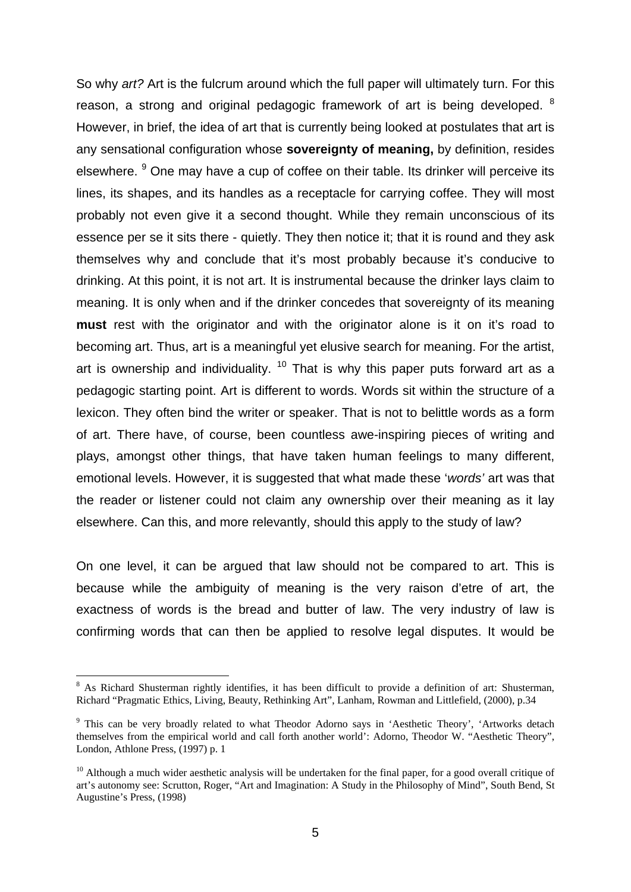So why *art?* Art is the fulcrum around which the full paper will ultimately turn. For this reason, a strong and original pedagogic framework of art is being developed.  $8$ However, in brief, the idea of art that is currently being looked at postulates that art is any sensational configuration whose **sovereignty of meaning,** by definition, resides elsewhere. <sup>9</sup> One may have a cup of coffee on their table. Its drinker will perceive its lines, its shapes, and its handles as a receptacle for carrying coffee. They will most probably not even give it a second thought. While they remain unconscious of its essence per se it sits there - quietly. They then notice it; that it is round and they ask themselves why and conclude that it's most probably because it's conducive to drinking. At this point, it is not art. It is instrumental because the drinker lays claim to meaning. It is only when and if the drinker concedes that sovereignty of its meaning **must** rest with the originator and with the originator alone is it on it's road to becoming art. Thus, art is a meaningful yet elusive search for meaning. For the artist, art is ownership and individuality.  $10$  That is why this paper puts forward art as a pedagogic starting point. Art is different to words. Words sit within the structure of a lexicon. They often bind the writer or speaker. That is not to belittle words as a form of art. There have, of course, been countless awe-inspiring pieces of writing and plays, amongst other things, that have taken human feelings to many different, emotional levels. However, it is suggested that what made these '*words'* art was that the reader or listener could not claim any ownership over their meaning as it lay elsewhere. Can this, and more relevantly, should this apply to the study of law?

On one level, it can be argued that law should not be compared to art. This is because while the ambiguity of meaning is the very raison d'etre of art, the exactness of words is the bread and butter of law. The very industry of law is confirming words that can then be applied to resolve legal disputes. It would be

<sup>&</sup>lt;sup>8</sup> As Richard Shusterman rightly identifies, it has been difficult to provide a definition of art: Shusterman, Richard "Pragmatic Ethics, Living, Beauty, Rethinking Art", Lanham, Rowman and Littlefield, (2000), p.34

<sup>&</sup>lt;sup>9</sup> This can be very broadly related to what Theodor Adorno says in 'Aesthetic Theory', 'Artworks detach themselves from the empirical world and call forth another world': Adorno, Theodor W. "Aesthetic Theory", London, Athlone Press, (1997) p. 1

 $10$  Although a much wider aesthetic analysis will be undertaken for the final paper, for a good overall critique of art's autonomy see: Scrutton, Roger, "Art and Imagination: A Study in the Philosophy of Mind", South Bend, St Augustine's Press, (1998)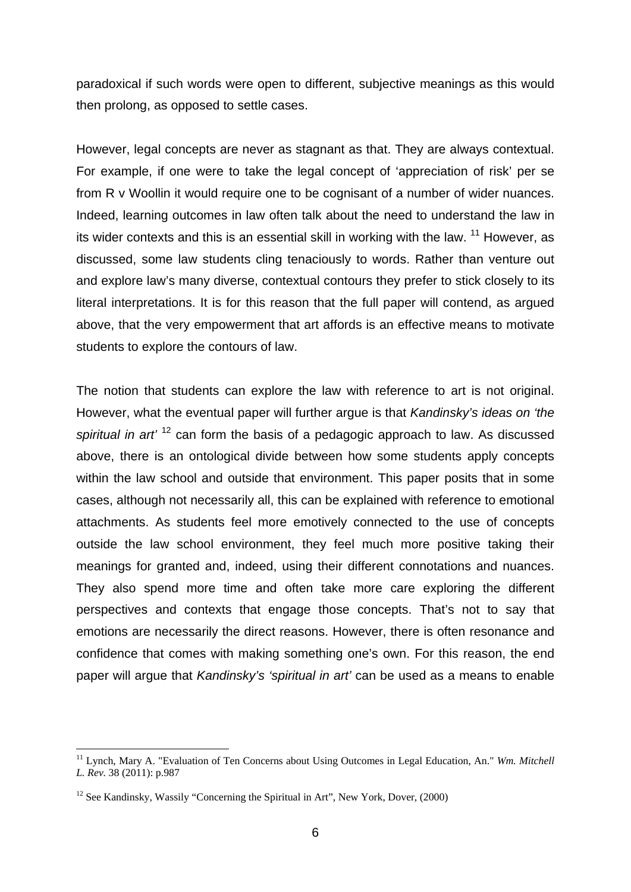paradoxical if such words were open to different, subjective meanings as this would then prolong, as opposed to settle cases.

However, legal concepts are never as stagnant as that. They are always contextual. For example, if one were to take the legal concept of 'appreciation of risk' per se from R v Woollin it would require one to be cognisant of a number of wider nuances. Indeed, learning outcomes in law often talk about the need to understand the law in its wider contexts and this is an essential skill in working with the law.  $11$  However, as discussed, some law students cling tenaciously to words. Rather than venture out and explore law's many diverse, contextual contours they prefer to stick closely to its literal interpretations. It is for this reason that the full paper will contend, as argued above, that the very empowerment that art affords is an effective means to motivate students to explore the contours of law.

The notion that students can explore the law with reference to art is not original. However, what the eventual paper will further argue is that *Kandinsky's ideas on 'the spiritual in art'* 12 can form the basis of a pedagogic approach to law. As discussed above, there is an ontological divide between how some students apply concepts within the law school and outside that environment. This paper posits that in some cases, although not necessarily all, this can be explained with reference to emotional attachments. As students feel more emotively connected to the use of concepts outside the law school environment, they feel much more positive taking their meanings for granted and, indeed, using their different connotations and nuances. They also spend more time and often take more care exploring the different perspectives and contexts that engage those concepts. That's not to say that emotions are necessarily the direct reasons. However, there is often resonance and confidence that comes with making something one's own. For this reason, the end paper will argue that *Kandinsky's 'spiritual in art'* can be used as a means to enable

<sup>11</sup> Lynch, Mary A. "Evaluation of Ten Concerns about Using Outcomes in Legal Education, An." *Wm. Mitchell L. Rev.* 38 (2011): p.987

 $12$  See Kandinsky, Wassily "Concerning the Spiritual in Art", New York, Dover, (2000)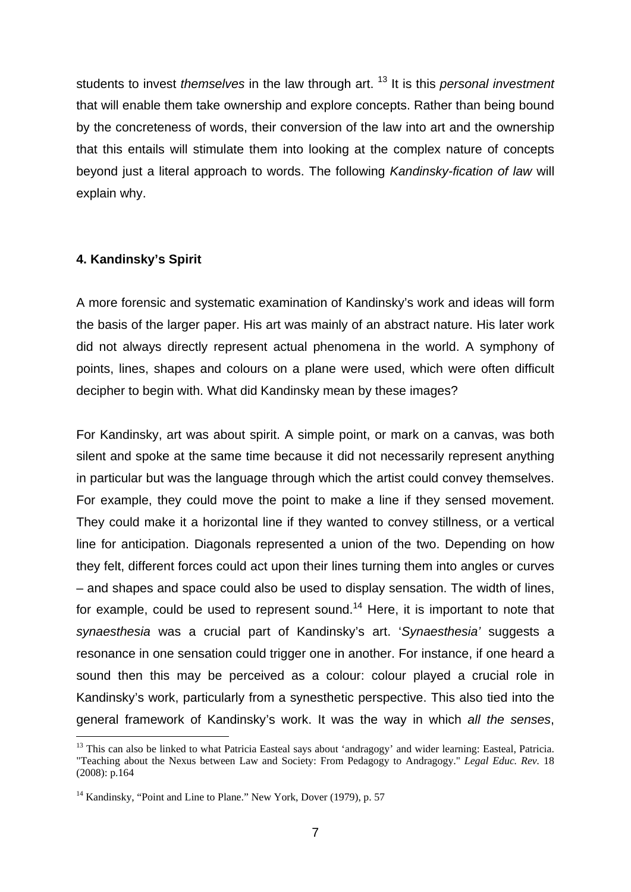students to invest *themselves* in the law through art. 13 It is this *personal investment* that will enable them take ownership and explore concepts. Rather than being bound by the concreteness of words, their conversion of the law into art and the ownership that this entails will stimulate them into looking at the complex nature of concepts beyond just a literal approach to words. The following *Kandinsky-fication of law* will explain why.

## **4. Kandinsky's Spirit**

1

A more forensic and systematic examination of Kandinsky's work and ideas will form the basis of the larger paper. His art was mainly of an abstract nature. His later work did not always directly represent actual phenomena in the world. A symphony of points, lines, shapes and colours on a plane were used, which were often difficult decipher to begin with. What did Kandinsky mean by these images?

For Kandinsky, art was about spirit. A simple point, or mark on a canvas, was both silent and spoke at the same time because it did not necessarily represent anything in particular but was the language through which the artist could convey themselves. For example, they could move the point to make a line if they sensed movement. They could make it a horizontal line if they wanted to convey stillness, or a vertical line for anticipation. Diagonals represented a union of the two. Depending on how they felt, different forces could act upon their lines turning them into angles or curves – and shapes and space could also be used to display sensation. The width of lines, for example, could be used to represent sound.<sup>14</sup> Here, it is important to note that *synaesthesia* was a crucial part of Kandinsky's art. '*Synaesthesia'* suggests a resonance in one sensation could trigger one in another. For instance, if one heard a sound then this may be perceived as a colour: colour played a crucial role in Kandinsky's work, particularly from a synesthetic perspective. This also tied into the general framework of Kandinsky's work. It was the way in which *all the senses*,

<sup>&</sup>lt;sup>13</sup> This can also be linked to what Patricia Easteal says about 'andragogy' and wider learning: Easteal, Patricia. "Teaching about the Nexus between Law and Society: From Pedagogy to Andragogy." *Legal Educ. Rev.* 18 (2008): p.164

<sup>&</sup>lt;sup>14</sup> Kandinsky, "Point and Line to Plane." New York, Dover (1979), p. 57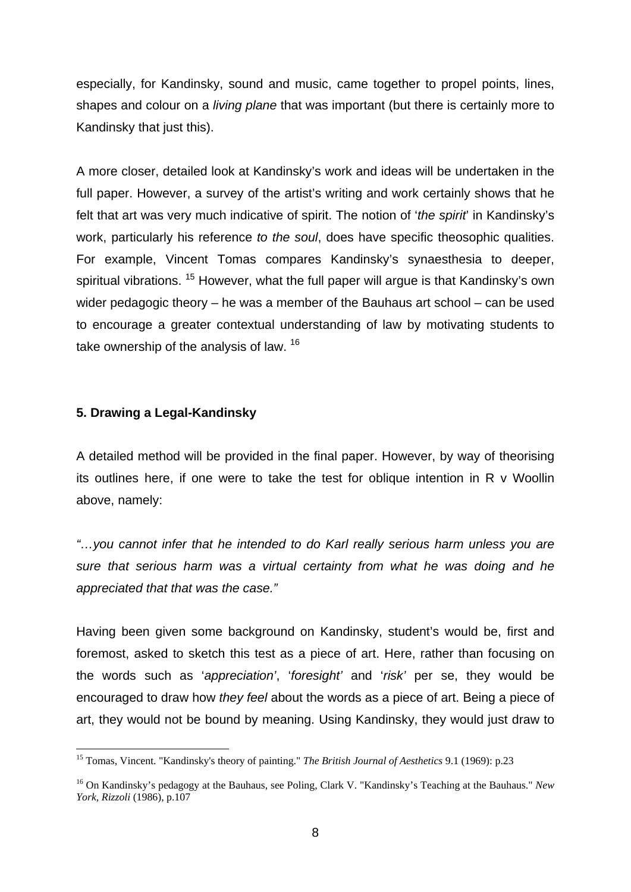especially, for Kandinsky, sound and music, came together to propel points, lines, shapes and colour on a *living plane* that was important (but there is certainly more to Kandinsky that just this).

A more closer, detailed look at Kandinsky's work and ideas will be undertaken in the full paper. However, a survey of the artist's writing and work certainly shows that he felt that art was very much indicative of spirit. The notion of '*the spirit*' in Kandinsky's work, particularly his reference *to the soul*, does have specific theosophic qualities. For example, Vincent Tomas compares Kandinsky's synaesthesia to deeper, spiritual vibrations. <sup>15</sup> However, what the full paper will argue is that Kandinsky's own wider pedagogic theory – he was a member of the Bauhaus art school – can be used to encourage a greater contextual understanding of law by motivating students to take ownership of the analysis of law. <sup>16</sup>

### **5. Drawing a Legal-Kandinsky**

1

A detailed method will be provided in the final paper. However, by way of theorising its outlines here, if one were to take the test for oblique intention in R v Woollin above, namely:

*"…you cannot infer that he intended to do Karl really serious harm unless you are sure that serious harm was a virtual certainty from what he was doing and he appreciated that that was the case."* 

Having been given some background on Kandinsky, student's would be, first and foremost, asked to sketch this test as a piece of art. Here, rather than focusing on the words such as '*appreciation'*, '*foresight'* and '*risk'* per se, they would be encouraged to draw how *they feel* about the words as a piece of art. Being a piece of art, they would not be bound by meaning. Using Kandinsky, they would just draw to

<sup>15</sup> Tomas, Vincent. "Kandinsky's theory of painting." *The British Journal of Aesthetics* 9.1 (1969): p.23

<sup>16</sup> On Kandinsky's pedagogy at the Bauhaus, see Poling, Clark V. "Kandinsky's Teaching at the Bauhaus." *New York, Rizzoli* (1986), p.107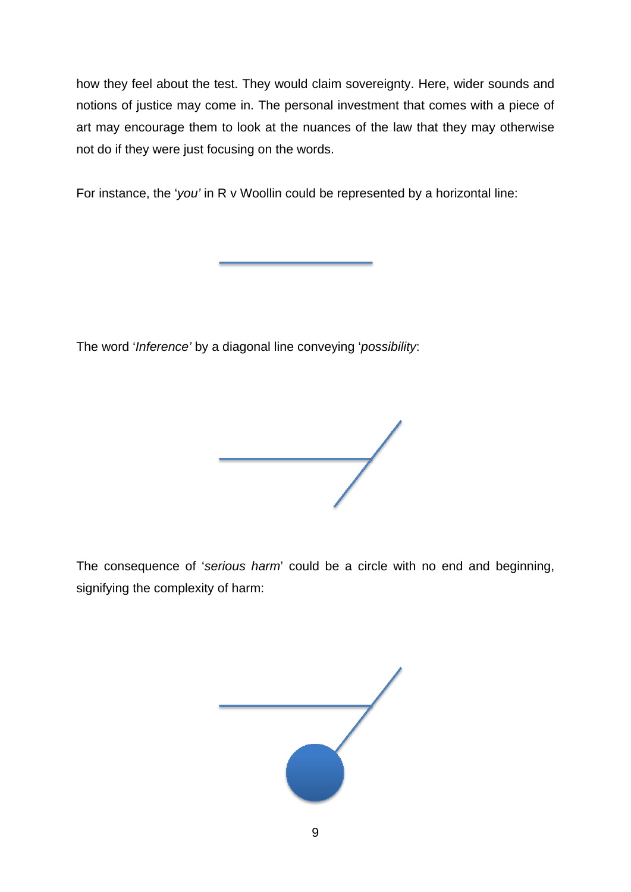how they feel about the test. They would claim sovereignty. Here, wider sounds and notions of justice may come in. The personal investment that comes with a piece of art may encourage them to look at the nuances of the law that they may otherwise not do if they were just focusing on the words.

For instance, the '*you'* in R v Woollin could be represented by a horizontal line:

The word '*Inference'* by a diagonal line conveying '*possibility*:



The consequence of '*serious harm*' could be a circle with no end and beginning, signifying the complexity of harm:

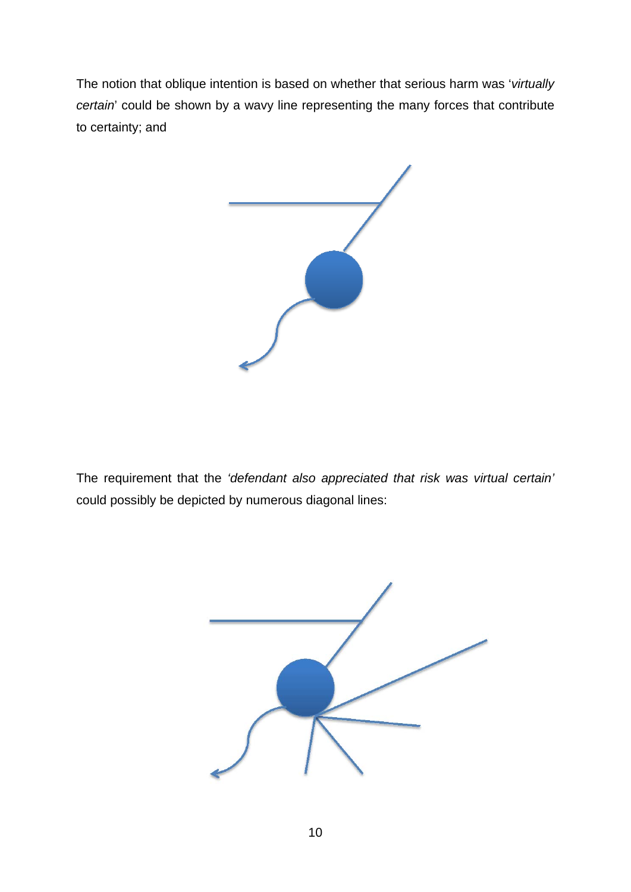The notion that oblique intention is based on whether that serious harm was '*virtually certain*' could be shown by a wavy line representing the many forces that contribute to certainty; and



The requirement that the *'defendant also appreciated that risk was virtual certain'* could possibly be depicted by numerous diagonal lines:

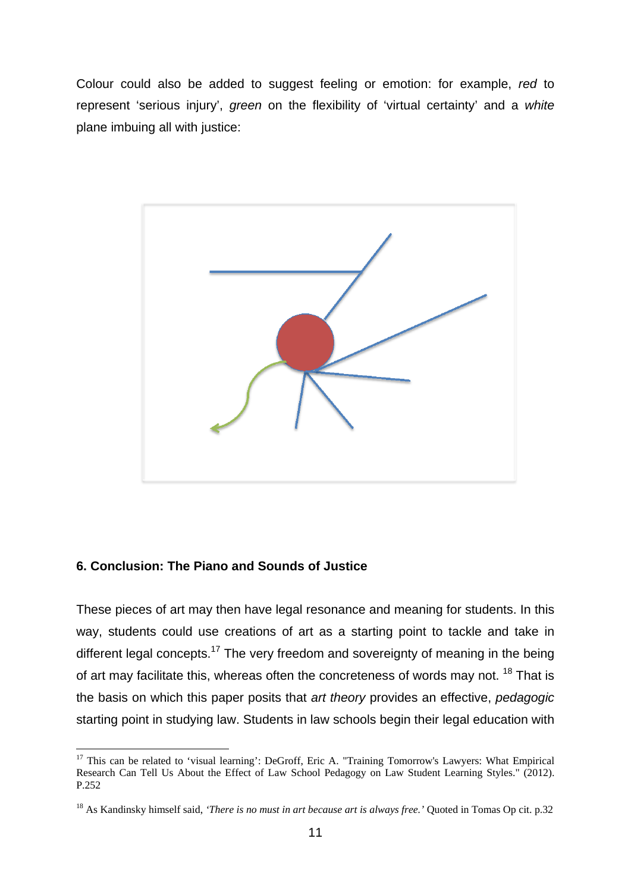Colour could also be added to suggest feeling or emotion: for example, *red* to represent 'serious injury', *green* on the flexibility of 'virtual certainty' and a *white* plane imbuing all with justice:



### **6. Conclusion: The Piano and Sounds of Justice**

1

These pieces of art may then have legal resonance and meaning for students. In this way, students could use creations of art as a starting point to tackle and take in different legal concepts.<sup>17</sup> The very freedom and sovereignty of meaning in the being of art may facilitate this, whereas often the concreteness of words may not. <sup>18</sup> That is the basis on which this paper posits that *art theory* provides an effective, *pedagogic* starting point in studying law. Students in law schools begin their legal education with

<sup>&</sup>lt;sup>17</sup> This can be related to 'visual learning': DeGroff, Eric A. "Training Tomorrow's Lawyers: What Empirical Research Can Tell Us About the Effect of Law School Pedagogy on Law Student Learning Styles." (2012). P.252

<sup>18</sup> As Kandinsky himself said, *'There is no must in art because art is always free.'* Quoted in Tomas Op cit. p.32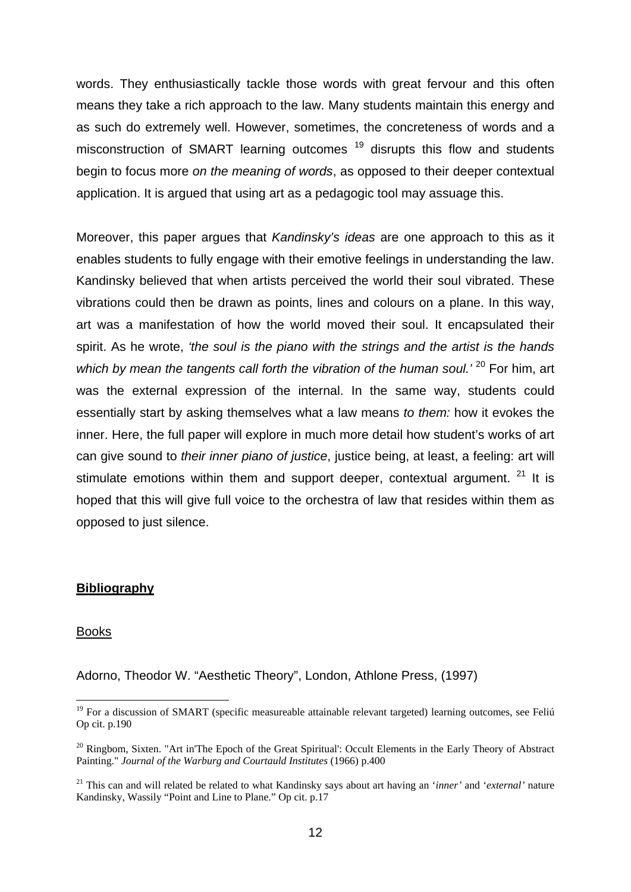words. They enthusiastically tackle those words with great fervour and this often means they take a rich approach to the law. Many students maintain this energy and as such do extremely well. However, sometimes, the concreteness of words and a misconstruction of SMART learning outcomes<sup>19</sup> disrupts this flow and students begin to focus more *on the meaning of words*, as opposed to their deeper contextual application. It is argued that using art as a pedagogic tool may assuage this.

Moreover, this paper argues that *Kandinsky's ideas* are one approach to this as it enables students to fully engage with their emotive feelings in understanding the law. Kandinsky believed that when artists perceived the world their soul vibrated. These vibrations could then be drawn as points, lines and colours on a plane. In this way, art was a manifestation of how the world moved their soul. It encapsulated their spirit. As he wrote, *'the soul is the piano with the strings and the artist is the hands*  which by mean the tangents call forth the vibration of the human soul.<sup>' 20</sup> For him, art was the external expression of the internal. In the same way, students could essentially start by asking themselves what a law means *to them:* how it evokes the inner. Here, the full paper will explore in much more detail how student's works of art can give sound to *their inner piano of justice*, justice being, at least, a feeling: art will stimulate emotions within them and support deeper, contextual argument.  $21$  It is hoped that this will give full voice to the orchestra of law that resides within them as opposed to just silence.

### **Bibliography**

#### Books

1

Adorno, Theodor W. "Aesthetic Theory", London, Athlone Press, (1997)

<sup>&</sup>lt;sup>19</sup> For a discussion of SMART (specific measureable attainable relevant targeted) learning outcomes, see Feliú Op cit. p.190

<sup>&</sup>lt;sup>20</sup> Ringbom, Sixten. "Art in'The Epoch of the Great Spiritual': Occult Elements in the Early Theory of Abstract Painting." *Journal of the Warburg and Courtauld Institutes* (1966) p.400

<sup>21</sup> This can and will related be related to what Kandinsky says about art having an '*inner'* and '*external'* nature Kandinsky, Wassily "Point and Line to Plane." Op cit. p.17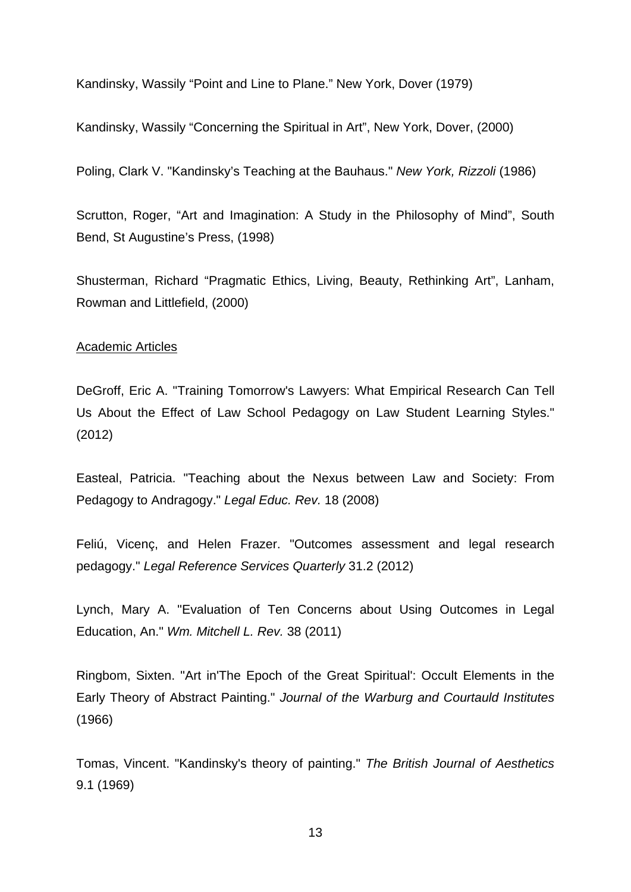Kandinsky, Wassily "Point and Line to Plane." New York, Dover (1979)

Kandinsky, Wassily "Concerning the Spiritual in Art", New York, Dover, (2000)

Poling, Clark V. "Kandinsky's Teaching at the Bauhaus." *New York, Rizzoli* (1986)

Scrutton, Roger, "Art and Imagination: A Study in the Philosophy of Mind", South Bend, St Augustine's Press, (1998)

Shusterman, Richard "Pragmatic Ethics, Living, Beauty, Rethinking Art", Lanham, Rowman and Littlefield, (2000)

#### Academic Articles

DeGroff, Eric A. "Training Tomorrow's Lawyers: What Empirical Research Can Tell Us About the Effect of Law School Pedagogy on Law Student Learning Styles." (2012)

Easteal, Patricia. "Teaching about the Nexus between Law and Society: From Pedagogy to Andragogy." *Legal Educ. Rev.* 18 (2008)

Feliú, Vicenç, and Helen Frazer. "Outcomes assessment and legal research pedagogy." *Legal Reference Services Quarterly* 31.2 (2012)

Lynch, Mary A. "Evaluation of Ten Concerns about Using Outcomes in Legal Education, An." *Wm. Mitchell L. Rev.* 38 (2011)

Ringbom, Sixten. "Art in'The Epoch of the Great Spiritual': Occult Elements in the Early Theory of Abstract Painting." *Journal of the Warburg and Courtauld Institutes* (1966)

Tomas, Vincent. "Kandinsky's theory of painting." *The British Journal of Aesthetics* 9.1 (1969)